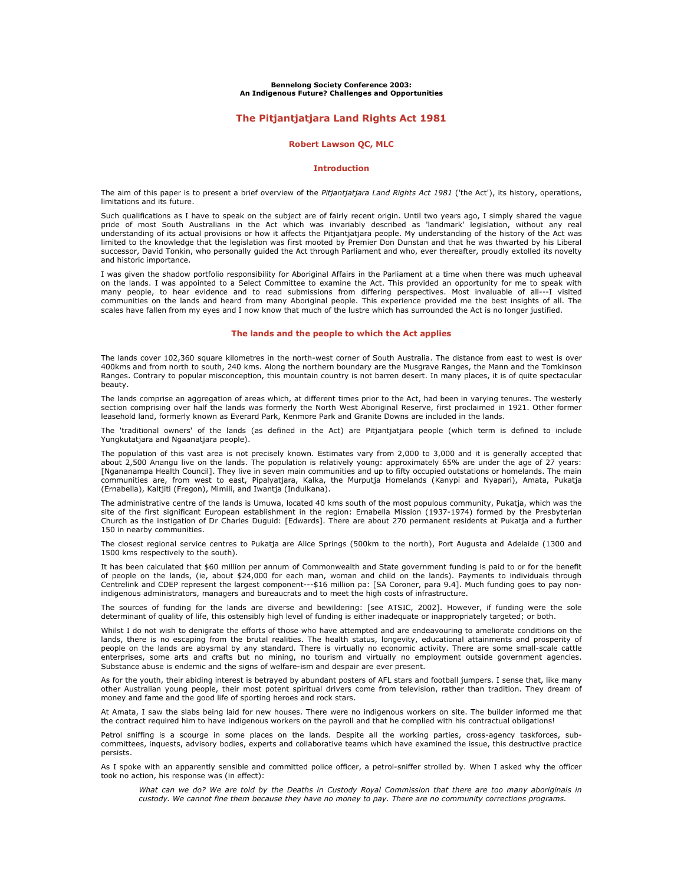Bennelong Society Conference 2003: An Indigenous Future? Challenges and Opportunities

# The Pitjantjatjara Land Rights Act 1981

### Robert Lawson QC, MLC

#### Introduction

The aim of this paper is to present a brief overview of the Pitjantjatjara Land Rights Act 1981 ('the Act'), its history, operations, limitations and its future.

Such qualifications as I have to speak on the subject are of fairly recent origin. Until two years ago, I simply shared the vague pride of most South Australians in the Act which was invariably described as 'landmark' legislation, without any real understanding of its actual provisions or how it affects the Pitjantjatjara people. My understanding of the history of the Act was limited to the knowledge that the legislation was first mooted by Premier Don Dunstan and that he was thwarted by his Liberal successor, David Tonkin, who personally guided the Act through Parliament and who, ever thereafter, proudly extolled its novelty and historic importance.

I was given the shadow portfolio responsibility for Aboriginal Affairs in the Parliament at a time when there was much upheaval on the lands. I was appointed to a Select Committee to examine the Act. This provided an opportunity for me to speak with many people, to hear evidence and to read submissions from differing perspectives. Most invaluable of all---I visited communities on the lands and heard from many Aboriginal people. This experience provided me the best insights of all. The scales have fallen from my eyes and I now know that much of the lustre which has surrounded the Act is no longer justified.

## The lands and the people to which the Act applies

The lands cover 102,360 square kilometres in the north-west corner of South Australia. The distance from east to west is over 400kms and from north to south, 240 kms. Along the northern boundary are the Musgrave Ranges, the Mann and the Tomkinson Ranges. Contrary to popular misconception, this mountain country is not barren desert. In many places, it is of quite spectacular beauty.

The lands comprise an aggregation of areas which, at different times prior to the Act, had been in varying tenures. The westerly section comprising over half the lands was formerly the North West Aboriginal Reserve, first proclaimed in 1921. Other former leasehold land, formerly known as Everard Park, Kenmore Park and Granite Downs are included in the lands.

The 'traditional owners' of the lands (as defined in the Act) are Pitjantjatjara people (which term is defined to include Yungkutatjara and Ngaanatjara people).

The population of this vast area is not precisely known. Estimates vary from 2,000 to 3,000 and it is generally accepted that about 2,500 Anangu live on the lands. The population is relatively young: approximately 65% are under the age of 27 years: [Ngananampa Health Council]. They live in seven main communities and up to fifty occupied outstations or homelands. The main communities are, from west to east, Pipalyatjara, Kalka, the Murputja Homelands (Kanypi and Nyapari), Amata, Pukatja (Ernabella), Kaltjiti (Fregon), Mimili, and Iwantja (Indulkana).

The administrative centre of the lands is Umuwa, located 40 kms south of the most populous community, Pukatja, which was the site of the first significant European establishment in the region: Ernabella Mission (1937-1974) formed by the Presbyterian Church as the instigation of Dr Charles Duguid: [Edwards]. There are about 270 permanent residents at Pukatja and a further 150 in nearby communities.

The closest regional service centres to Pukatja are Alice Springs (500km to the north), Port Augusta and Adelaide (1300 and 1500 kms respectively to the south).

It has been calculated that \$60 million per annum of Commonwealth and State government funding is paid to or for the benefit of people on the lands, (ie, about \$24,000 for each man, woman and child on the lands). Payments to individuals through Centrelink and CDEP represent the largest component---\$16 million pa: [SA Coroner, para 9.4]. Much funding goes to pay nonindigenous administrators, managers and bureaucrats and to meet the high costs of infrastructure.

The sources of funding for the lands are diverse and bewildering: [see ATSIC, 2002]. However, if funding were the sole determinant of quality of life, this ostensibly high level of funding is either inadequate or inappropriately targeted; or both.

Whilst I do not wish to denigrate the efforts of those who have attempted and are endeavouring to ameliorate conditions on the lands, there is no escaping from the brutal realities. The health status, longevity, educational attainments and prosperity of people on the lands are abysmal by any standard. There is virtually no economic activity. There are some small-scale cattle enterprises, some arts and crafts but no mining, no tourism and virtually no employment outside government agencies. Substance abuse is endemic and the signs of welfare-ism and despair are ever present.

As for the youth, their abiding interest is betrayed by abundant posters of AFL stars and football jumpers. I sense that, like many other Australian young people, their most potent spiritual drivers come from television, rather than tradition. They dream of money and fame and the good life of sporting heroes and rock stars.

At Amata, I saw the slabs being laid for new houses. There were no indigenous workers on site. The builder informed me that the contract required him to have indigenous workers on the payroll and that he complied with his contractual obligations!

Petrol sniffing is a scourge in some places on the lands. Despite all the working parties, cross-agency taskforces, subcommittees, inquests, advisory bodies, experts and collaborative teams which have examined the issue, this destructive practice persists.

As I spoke with an apparently sensible and committed police officer, a petrol-sniffer strolled by. When I asked why the officer took no action, his response was (in effect):

What can we do? We are told by the Deaths in Custody Royal Commission that there are too many aboriginals in custody. We cannot fine them because they have no money to pay. There are no community corrections programs.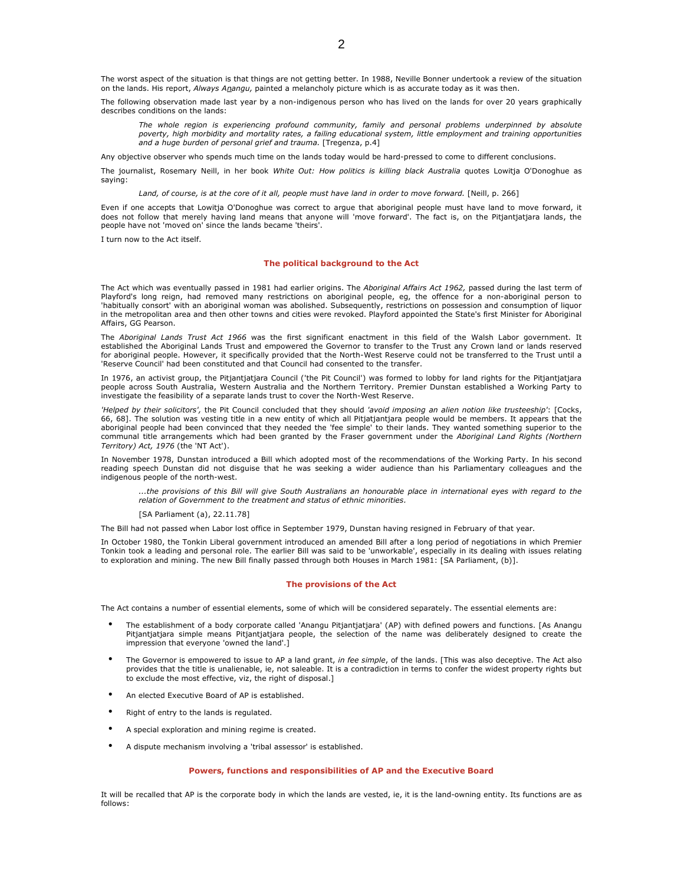The worst aspect of the situation is that things are not getting better. In 1988, Neville Bonner undertook a review of the situation on the lands. His report, Always Anangu, painted a melancholy picture which is as accurate today as it was then.

The following observation made last year by a non-indigenous person who has lived on the lands for over 20 years graphically describes conditions on the lands:

The whole region is experiencing profound community, family and personal problems underpinned by absolute poverty, high morbidity and mortality rates, a failing educational system, little employment and training opportunities and a huge burden of personal grief and trauma. [Tregenza, p.4]

Any objective observer who spends much time on the lands today would be hard-pressed to come to different conclusions.

The journalist, Rosemary Neill, in her book White Out: How politics is killing black Australia quotes Lowitja O'Donoghue as saying:

Land, of course, is at the core of it all, people must have land in order to move forward. [Neill, p. 266]

Even if one accepts that Lowitja O'Donoghue was correct to argue that aboriginal people must have land to move forward, it does not follow that merely having land means that anyone will 'move forward'. The fact is, on the Pitjantjatjara lands, the people have not 'moved on' since the lands became 'theirs'.

I turn now to the Act itself.

### The political background to the Act

The Act which was eventually passed in 1981 had earlier origins. The Aboriginal Affairs Act 1962, passed during the last term of Playford's long reign, had removed many restrictions on aboriginal people, eg, the offence for a non-aboriginal person to 'habitually consort' with an aboriginal woman was abolished. Subsequently, restrictions on possession and consumption of liquor in the metropolitan area and then other towns and cities were revoked. Playford appointed the State's first Minister for Aboriginal Affairs, GG Pearson.

The *Aboriginal Lands Trust Act 1966* was the first significant enactment in this field of the Walsh Labor government. It established the Aboriginal Lands Trust and empowered the Governor to transfer to the Trust any Crown land or lands reserved for aboriginal people. However, it specifically provided that the North-West Reserve could not be transferred to the Trust until a 'Reserve Council' had been constituted and that Council had consented to the transfer.

In 1976, an activist group, the Pitjantjatjara Council ('the Pit Council') was formed to lobby for land rights for the Pitjantjatjara people across South Australia, Western Australia and the Northern Territory. Premier Dunstan established a Working Party to investigate the feasibility of a separate lands trust to cover the North-West Reserve.

'Helped by their solicitors', the Pit Council concluded that they should 'avoid imposing an alien notion like trusteeship': [Cocks, 66, 68]. The solution was vesting title in a new entity of which all Pitjatjantjara people would be members. It appears that the aboriginal people had been convinced that they needed the 'fee simple' to their lands. They wanted something superior to the communal title arrangements which had been granted by the Fraser government under the Aboriginal Land Rights (Northern Territory) Act, 1976 (the 'NT Act').

In November 1978, Dunstan introduced a Bill which adopted most of the recommendations of the Working Party. In his second reading speech Dunstan did not disguise that he was seeking a wider audience than his Parliamentary colleagues and the indigenous people of the north-west.

...the provisions of this Bill will give South Australians an honourable place in international eyes with regard to the relation of Government to the treatment and status of ethnic minorities.

[SA Parliament (a), 22.11.78]

The Bill had not passed when Labor lost office in September 1979, Dunstan having resigned in February of that year.

In October 1980, the Tonkin Liberal government introduced an amended Bill after a long period of negotiations in which Premier Tonkin took a leading and personal role. The earlier Bill was said to be 'unworkable', especially in its dealing with issues relating to exploration and mining. The new Bill finally passed through both Houses in March 1981: [SA Parliament, (b)].

### The provisions of the Act

The Act contains a number of essential elements, some of which will be considered separately. The essential elements are:

- The establishment of a body corporate called 'Anangu Pitjantjatjara' (AP) with defined powers and functions. [As Anangu Pitjantjatjara simple means Pitjantjatjara people, the selection of the name was deliberately designed to create the impression that everyone 'owned the land'.]
- The Governor is empowered to issue to AP a land grant, in fee simple, of the lands. [This was also deceptive. The Act also provides that the title is unalienable, ie, not saleable. It is a contradiction in terms to confer the widest property rights but to exclude the most effective, viz, the right of disposal.]
- An elected Executive Board of AP is established.
- Right of entry to the lands is regulated.
- A special exploration and mining regime is created.
- A dispute mechanism involving a 'tribal assessor' is established.

### Powers, functions and responsibilities of AP and the Executive Board

It will be recalled that AP is the corporate body in which the lands are vested, ie, it is the land-owning entity. Its functions are as follows: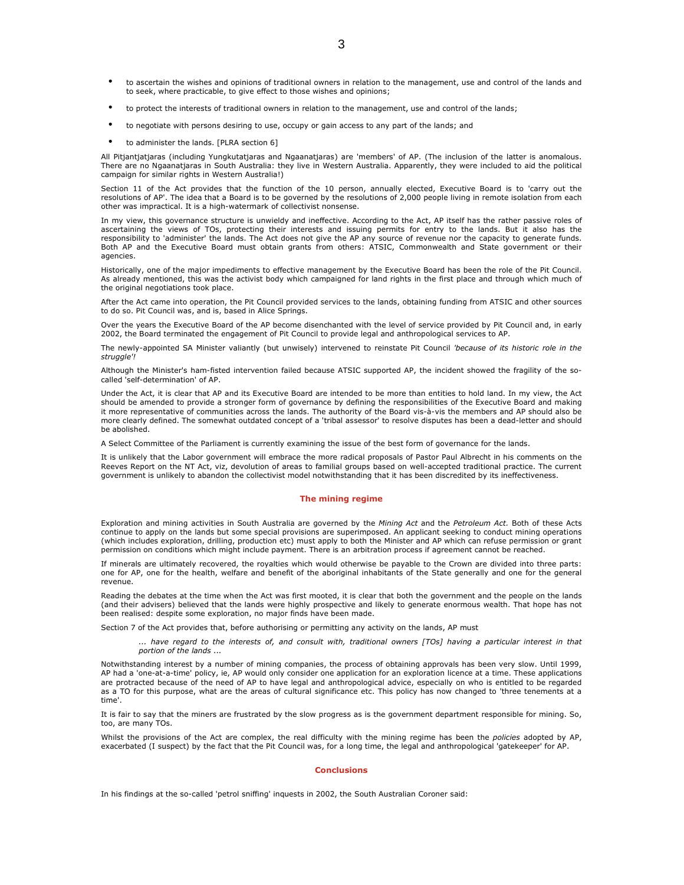- to ascertain the wishes and opinions of traditional owners in relation to the management, use and control of the lands and to seek, where practicable, to give effect to those wishes and opinions;
- to protect the interests of traditional owners in relation to the management, use and control of the lands;
- to negotiate with persons desiring to use, occupy or gain access to any part of the lands; and
- to administer the lands. [PLRA section 6]

All Pitjantjatjaras (including Yungkutatjaras and Ngaanatjaras) are 'members' of AP. (The inclusion of the latter is anomalous. There are no Ngaanatjaras in South Australia: they live in Western Australia. Apparently, they were included to aid the political campaign for similar rights in Western Australia!)

Section 11 of the Act provides that the function of the 10 person, annually elected, Executive Board is to 'carry out the resolutions of AP'. The idea that a Board is to be governed by the resolutions of 2,000 people living in remote isolation from each other was impractical. It is a high-watermark of collectivist nonsense.

In my view, this governance structure is unwieldy and ineffective. According to the Act, AP itself has the rather passive roles of ascertaining the views of TOs, protecting their interests and issuing permits for entry to the lands. But it also has the responsibility to 'administer' the lands. The Act does not give the AP any source of revenue nor the capacity to generate funds. Both AP and the Executive Board must obtain grants from others: ATSIC, Commonwealth and State government or their agencies.

Historically, one of the major impediments to effective management by the Executive Board has been the role of the Pit Council. As already mentioned, this was the activist body which campaigned for land rights in the first place and through which much of the original negotiations took place.

After the Act came into operation, the Pit Council provided services to the lands, obtaining funding from ATSIC and other sources to do so. Pit Council was, and is, based in Alice Springs.

Over the years the Executive Board of the AP become disenchanted with the level of service provided by Pit Council and, in early 2002, the Board terminated the engagement of Pit Council to provide legal and anthropological services to AP.

The newly-appointed SA Minister valiantly (but unwisely) intervened to reinstate Pit Council 'because of its historic role in the struggle'!

Although the Minister's ham-fisted intervention failed because ATSIC supported AP, the incident showed the fragility of the socalled 'self-determination' of AP.

Under the Act, it is clear that AP and its Executive Board are intended to be more than entities to hold land. In my view, the Act should be amended to provide a stronger form of governance by defining the responsibilities of the Executive Board and making it more representative of communities across the lands. The authority of the Board vis-à-vis the members and AP should also be more clearly defined. The somewhat outdated concept of a 'tribal assessor' to resolve disputes has been a dead-letter and should be abolished.

A Select Committee of the Parliament is currently examining the issue of the best form of governance for the lands.

It is unlikely that the Labor government will embrace the more radical proposals of Pastor Paul Albrecht in his comments on the Reeves Report on the NT Act, viz, devolution of areas to familial groups based on well-accepted traditional practice. The current government is unlikely to abandon the collectivist model notwithstanding that it has been discredited by its ineffectiveness.

## The mining regime

Exploration and mining activities in South Australia are governed by the Mining Act and the Petroleum Act. Both of these Acts continue to apply on the lands but some special provisions are superimposed. An applicant seeking to conduct mining operations (which includes exploration, drilling, production etc) must apply to both the Minister and AP which can refuse permission or grant permission on conditions which might include payment. There is an arbitration process if agreement cannot be reached.

If minerals are ultimately recovered, the royalties which would otherwise be payable to the Crown are divided into three parts: one for AP, one for the health, welfare and benefit of the aboriginal inhabitants of the State generally and one for the general revenue.

Reading the debates at the time when the Act was first mooted, it is clear that both the government and the people on the lands (and their advisers) believed that the lands were highly prospective and likely to generate enormous wealth. That hope has not been realised: despite some exploration, no major finds have been made.

Section 7 of the Act provides that, before authorising or permitting any activity on the lands, AP must

... have regard to the interests of, and consult with, traditional owners [TOs] having a particular interest in that portion of the lands ...

Notwithstanding interest by a number of mining companies, the process of obtaining approvals has been very slow. Until 1999, AP had a 'one-at-a-time' policy, ie, AP would only consider one application for an exploration licence at a time. These applications are protracted because of the need of AP to have legal and anthropological advice, especially on who is entitled to be regarded as a TO for this purpose, what are the areas of cultural significance etc. This policy has now changed to 'three tenements at a time'.

It is fair to say that the miners are frustrated by the slow progress as is the government department responsible for mining. So, too, are many TOs.

Whilst the provisions of the Act are complex, the real difficulty with the mining regime has been the policies adopted by AP, exacerbated (I suspect) by the fact that the Pit Council was, for a long time, the legal and anthropological 'gatekeeper' for AP.

### **Conclusions**

In his findings at the so-called 'petrol sniffing' inquests in 2002, the South Australian Coroner said: